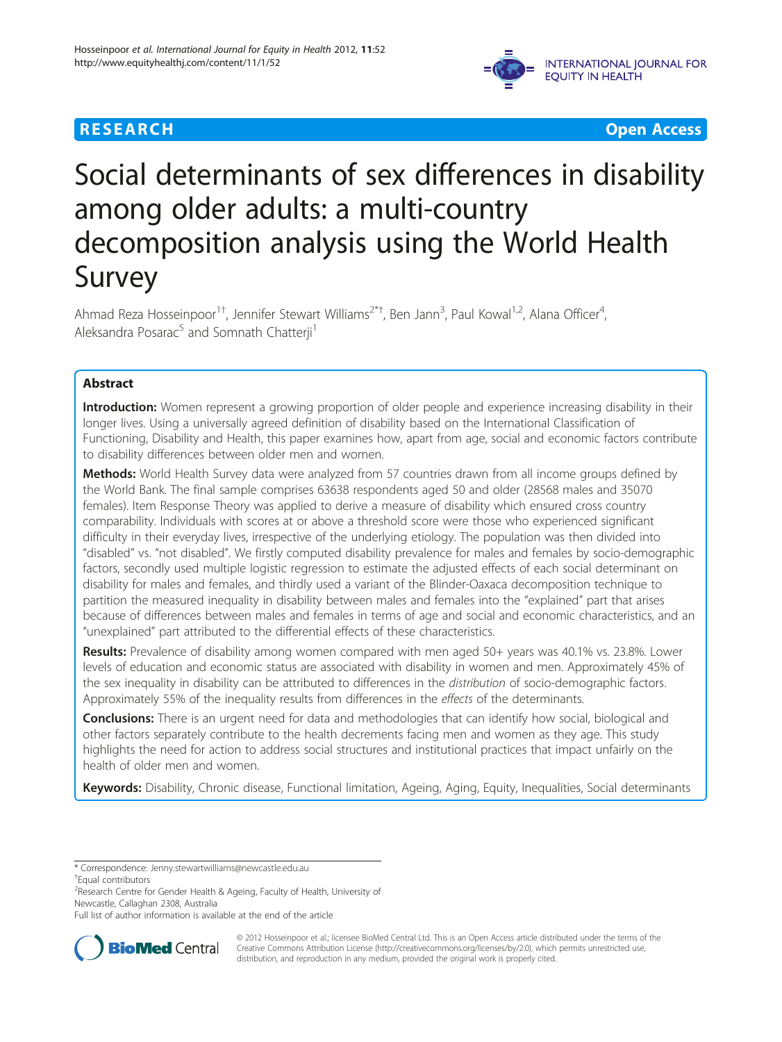## **RESEARCH CHE Open Access**



# Social determinants of sex differences in disability among older adults: a multi-country decomposition analysis using the World Health Survey

Ahmad Reza Hosseinpoor<sup>1†</sup>, Jennifer Stewart Williams<sup>2\*†</sup>, Ben Jann<sup>3</sup>, Paul Kowal<sup>1,2</sup>, Alana Officer<sup>4</sup> , Aleksandra Posarac<sup>5</sup> and Somnath Chatterji<sup>1</sup>

## Abstract

Introduction: Women represent a growing proportion of older people and experience increasing disability in their longer lives. Using a universally agreed definition of disability based on the International Classification of Functioning, Disability and Health, this paper examines how, apart from age, social and economic factors contribute to disability differences between older men and women.

Methods: World Health Survey data were analyzed from 57 countries drawn from all income groups defined by the World Bank. The final sample comprises 63638 respondents aged 50 and older (28568 males and 35070 females). Item Response Theory was applied to derive a measure of disability which ensured cross country comparability. Individuals with scores at or above a threshold score were those who experienced significant difficulty in their everyday lives, irrespective of the underlying etiology. The population was then divided into "disabled" vs. "not disabled". We firstly computed disability prevalence for males and females by socio-demographic factors, secondly used multiple logistic regression to estimate the adjusted effects of each social determinant on disability for males and females, and thirdly used a variant of the Blinder-Oaxaca decomposition technique to partition the measured inequality in disability between males and females into the "explained" part that arises because of differences between males and females in terms of age and social and economic characteristics, and an "unexplained" part attributed to the differential effects of these characteristics.

Results: Prevalence of disability among women compared with men aged 50+ years was 40.1% vs. 23.8%. Lower levels of education and economic status are associated with disability in women and men. Approximately 45% of the sex inequality in disability can be attributed to differences in the distribution of socio-demographic factors. Approximately 55% of the inequality results from differences in the effects of the determinants.

Conclusions: There is an urgent need for data and methodologies that can identify how social, biological and other factors separately contribute to the health decrements facing men and women as they age. This study highlights the need for action to address social structures and institutional practices that impact unfairly on the health of older men and women.

Keywords: Disability, Chronic disease, Functional limitation, Ageing, Aging, Equity, Inequalities, Social determinants

\* Correspondence: [Jenny.stewartwilliams@newcastle.edu.au](mailto:Jenny.stewartwilliams@newcastle.edu.au) †

<sup>+</sup>Fqual contributors

<sup>2</sup>Research Centre for Gender Health & Ageing, Faculty of Health, University of Newcastle, Callaghan 2308, Australia

Full list of author information is available at the end of the article



© 2012 Hosseinpoor et al.; licensee BioMed Central Ltd. This is an Open Access article distributed under the terms of the Creative Commons Attribution License (<http://creativecommons.org/licenses/by/2.0>), which permits unrestricted use, distribution, and reproduction in any medium, provided the original work is properly cited.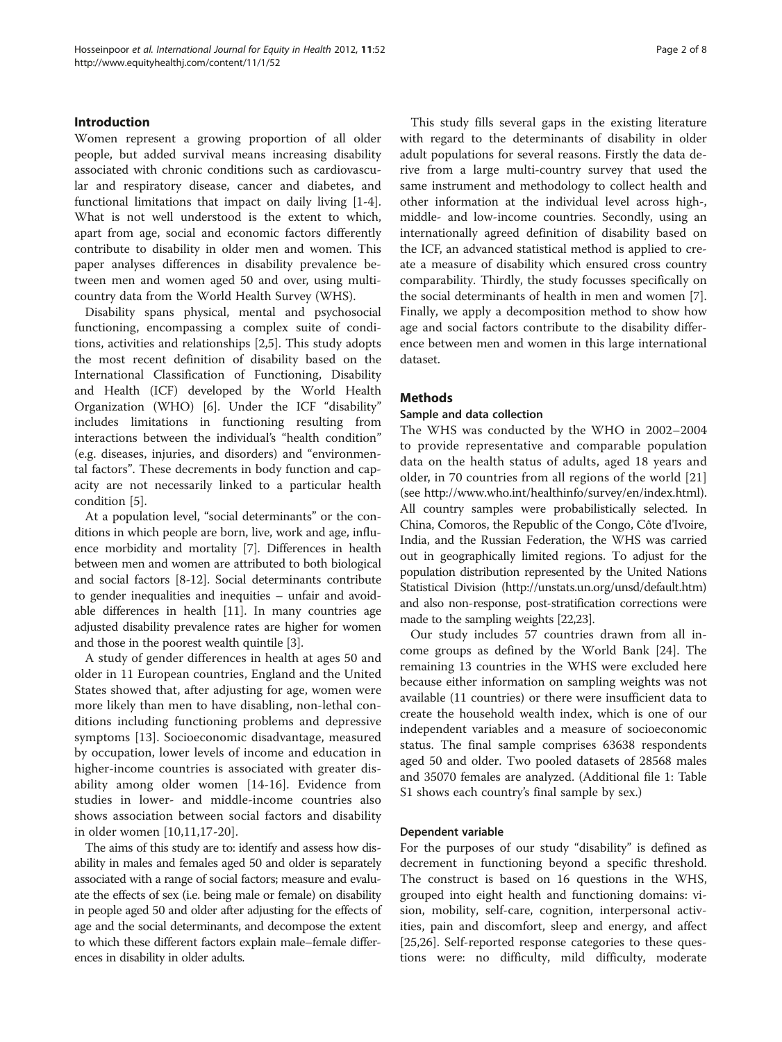## Introduction

Women represent a growing proportion of all older people, but added survival means increasing disability associated with chronic conditions such as cardiovascular and respiratory disease, cancer and diabetes, and functional limitations that impact on daily living [[1-4](#page-6-0)]. What is not well understood is the extent to which, apart from age, social and economic factors differently contribute to disability in older men and women. This paper analyses differences in disability prevalence between men and women aged 50 and over, using multicountry data from the World Health Survey (WHS).

Disability spans physical, mental and psychosocial functioning, encompassing a complex suite of conditions, activities and relationships [\[2,5\]](#page-6-0). This study adopts the most recent definition of disability based on the International Classification of Functioning, Disability and Health (ICF) developed by the World Health Organization (WHO) [[6](#page-7-0)]. Under the ICF "disability" includes limitations in functioning resulting from interactions between the individual's "health condition" (e.g. diseases, injuries, and disorders) and "environmental factors". These decrements in body function and capacity are not necessarily linked to a particular health condition [[5\]](#page-6-0).

At a population level, "social determinants" or the conditions in which people are born, live, work and age, influence morbidity and mortality [\[7](#page-7-0)]. Differences in health between men and women are attributed to both biological and social factors [[8-12\]](#page-7-0). Social determinants contribute to gender inequalities and inequities – unfair and avoidable differences in health [\[11\]](#page-7-0). In many countries age adjusted disability prevalence rates are higher for women and those in the poorest wealth quintile [\[3](#page-6-0)].

A study of gender differences in health at ages 50 and older in 11 European countries, England and the United States showed that, after adjusting for age, women were more likely than men to have disabling, non-lethal conditions including functioning problems and depressive symptoms [[13\]](#page-7-0). Socioeconomic disadvantage, measured by occupation, lower levels of income and education in higher-income countries is associated with greater disability among older women [\[14](#page-7-0)-[16](#page-7-0)]. Evidence from studies in lower- and middle-income countries also shows association between social factors and disability in older women [[10,11,17](#page-7-0)-[20\]](#page-7-0).

The aims of this study are to: identify and assess how disability in males and females aged 50 and older is separately associated with a range of social factors; measure and evaluate the effects of sex (i.e. being male or female) on disability in people aged 50 and older after adjusting for the effects of age and the social determinants, and decompose the extent to which these different factors explain male–female differences in disability in older adults.

This study fills several gaps in the existing literature with regard to the determinants of disability in older adult populations for several reasons. Firstly the data derive from a large multi-country survey that used the same instrument and methodology to collect health and other information at the individual level across high-, middle- and low-income countries. Secondly, using an internationally agreed definition of disability based on the ICF, an advanced statistical method is applied to create a measure of disability which ensured cross country comparability. Thirdly, the study focusses specifically on the social determinants of health in men and women [\[7](#page-7-0)]. Finally, we apply a decomposition method to show how age and social factors contribute to the disability difference between men and women in this large international dataset.

## **Methods**

## Sample and data collection

The WHS was conducted by the WHO in 2002–2004 to provide representative and comparable population data on the health status of adults, aged 18 years and older, in 70 countries from all regions of the world [\[21](#page-7-0)] (see<http://www.who.int/healthinfo/survey/en/index.html>). All country samples were probabilistically selected. In China, Comoros, the Republic of the Congo, Côte d'Ivoire, India, and the Russian Federation, the WHS was carried out in geographically limited regions. To adjust for the population distribution represented by the United Nations Statistical Division [\(http://unstats.un.org/unsd/default.htm](http://unstats.un.org/unsd/default.htm)) and also non-response, post-stratification corrections were made to the sampling weights [\[22,23](#page-7-0)].

Our study includes 57 countries drawn from all income groups as defined by the World Bank [[24](#page-7-0)]. The remaining 13 countries in the WHS were excluded here because either information on sampling weights was not available (11 countries) or there were insufficient data to create the household wealth index, which is one of our independent variables and a measure of socioeconomic status. The final sample comprises 63638 respondents aged 50 and older. Two pooled datasets of 28568 males and 35070 females are analyzed. (Additional file [1](#page-6-0): Table S1 shows each country's final sample by sex.)

#### Dependent variable

For the purposes of our study "disability" is defined as decrement in functioning beyond a specific threshold. The construct is based on 16 questions in the WHS, grouped into eight health and functioning domains: vision, mobility, self-care, cognition, interpersonal activities, pain and discomfort, sleep and energy, and affect [[25,26\]](#page-7-0). Self-reported response categories to these questions were: no difficulty, mild difficulty, moderate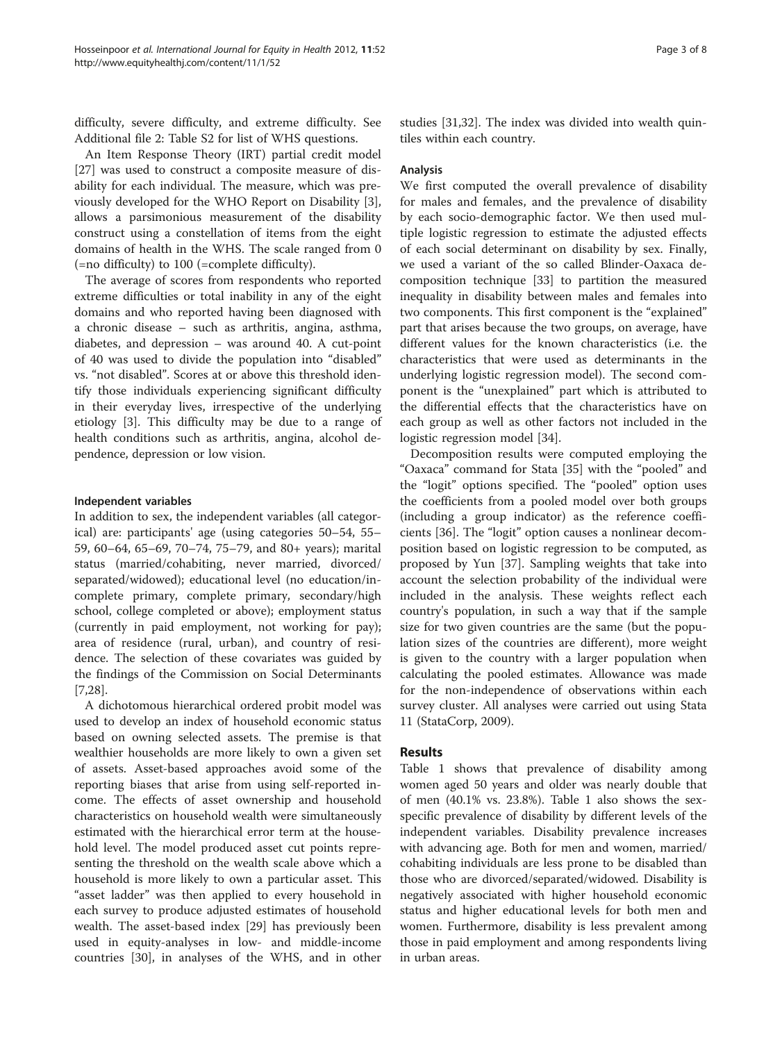difficulty, severe difficulty, and extreme difficulty. See Additional file [2:](#page-6-0) Table S2 for list of WHS questions.

An Item Response Theory (IRT) partial credit model [[27\]](#page-7-0) was used to construct a composite measure of disability for each individual. The measure, which was previously developed for the WHO Report on Disability [\[3](#page-6-0)], allows a parsimonious measurement of the disability construct using a constellation of items from the eight domains of health in the WHS. The scale ranged from 0 (=no difficulty) to 100 (=complete difficulty).

The average of scores from respondents who reported extreme difficulties or total inability in any of the eight domains and who reported having been diagnosed with a chronic disease – such as arthritis, angina, asthma, diabetes, and depression – was around 40. A cut-point of 40 was used to divide the population into "disabled" vs. "not disabled". Scores at or above this threshold identify those individuals experiencing significant difficulty in their everyday lives, irrespective of the underlying etiology [[3\]](#page-6-0). This difficulty may be due to a range of health conditions such as arthritis, angina, alcohol dependence, depression or low vision.

## Independent variables

In addition to sex, the independent variables (all categorical) are: participants' age (using categories 50–54, 55– 59, 60–64, 65–69, 70–74, 75–79, and 80+ years); marital status (married/cohabiting, never married, divorced/ separated/widowed); educational level (no education/incomplete primary, complete primary, secondary/high school, college completed or above); employment status (currently in paid employment, not working for pay); area of residence (rural, urban), and country of residence. The selection of these covariates was guided by the findings of the Commission on Social Determinants [[7,28\]](#page-7-0).

A dichotomous hierarchical ordered probit model was used to develop an index of household economic status based on owning selected assets. The premise is that wealthier households are more likely to own a given set of assets. Asset-based approaches avoid some of the reporting biases that arise from using self-reported income. The effects of asset ownership and household characteristics on household wealth were simultaneously estimated with the hierarchical error term at the household level. The model produced asset cut points representing the threshold on the wealth scale above which a household is more likely to own a particular asset. This "asset ladder" was then applied to every household in each survey to produce adjusted estimates of household wealth. The asset-based index [\[29](#page-7-0)] has previously been used in equity-analyses in low- and middle-income countries [[30\]](#page-7-0), in analyses of the WHS, and in other studies [\[31,32](#page-7-0)]. The index was divided into wealth quintiles within each country.

## Analysis

We first computed the overall prevalence of disability for males and females, and the prevalence of disability by each socio-demographic factor. We then used multiple logistic regression to estimate the adjusted effects of each social determinant on disability by sex. Finally, we used a variant of the so called Blinder-Oaxaca decomposition technique [\[33\]](#page-7-0) to partition the measured inequality in disability between males and females into two components. This first component is the "explained" part that arises because the two groups, on average, have different values for the known characteristics (i.e. the characteristics that were used as determinants in the underlying logistic regression model). The second component is the "unexplained" part which is attributed to the differential effects that the characteristics have on each group as well as other factors not included in the logistic regression model [[34](#page-7-0)].

Decomposition results were computed employing the "Oaxaca" command for Stata [\[35](#page-7-0)] with the "pooled" and the "logit" options specified. The "pooled" option uses the coefficients from a pooled model over both groups (including a group indicator) as the reference coefficients [[36](#page-7-0)]. The "logit" option causes a nonlinear decomposition based on logistic regression to be computed, as proposed by Yun [\[37](#page-7-0)]. Sampling weights that take into account the selection probability of the individual were included in the analysis. These weights reflect each country's population, in such a way that if the sample size for two given countries are the same (but the population sizes of the countries are different), more weight is given to the country with a larger population when calculating the pooled estimates. Allowance was made for the non-independence of observations within each survey cluster. All analyses were carried out using Stata 11 (StataCorp, 2009).

#### Results

Table [1](#page-3-0) shows that prevalence of disability among women aged 50 years and older was nearly double that of men (40.1% vs. 23.8%). Table [1](#page-3-0) also shows the sexspecific prevalence of disability by different levels of the independent variables. Disability prevalence increases with advancing age. Both for men and women, married/ cohabiting individuals are less prone to be disabled than those who are divorced/separated/widowed. Disability is negatively associated with higher household economic status and higher educational levels for both men and women. Furthermore, disability is less prevalent among those in paid employment and among respondents living in urban areas.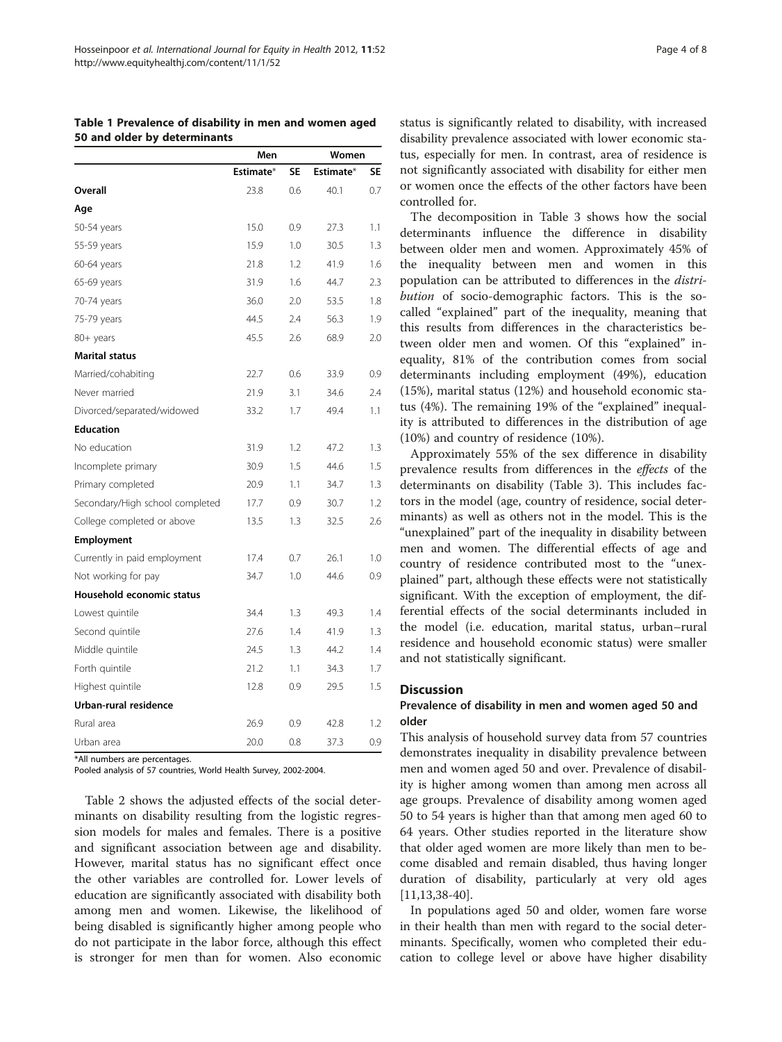|                                 | Men       |           | Women     |           |
|---------------------------------|-----------|-----------|-----------|-----------|
|                                 | Estimate* | <b>SE</b> | Estimate* | <b>SE</b> |
| Overall                         | 23.8      | 0.6       | 40.1      | 0.7       |
| Age                             |           |           |           |           |
| 50-54 years                     | 15.0      | 0.9       | 27.3      | 1.1       |
| 55-59 years                     | 15.9      | 1.0       | 30.5      | 1.3       |
| 60-64 years                     | 21.8      | 1.2       | 41.9      | 1.6       |
| 65-69 years                     | 31.9      | 1.6       | 44.7      | 2.3       |
| 70-74 years                     | 36.0      | 2.0       | 53.5      | 1.8       |
| 75-79 years                     | 44.5      | 2.4       | 56.3      | 1.9       |
| 80+ years                       | 45.5      | 2.6       | 68.9      | 2.0       |
| Marital status                  |           |           |           |           |
| Married/cohabiting              | 22.7      | 0.6       | 33.9      | 0.9       |
| Never married                   | 21.9      | 3.1       | 34.6      | 2.4       |
| Divorced/separated/widowed      | 33.2      | 1.7       | 49.4      | 1.1       |
| <b>Education</b>                |           |           |           |           |
| No education                    | 31.9      | 1.2       | 47.2      | 1.3       |
| Incomplete primary              | 30.9      | 1.5       | 44.6      | 1.5       |
| Primary completed               | 20.9      | 1.1       | 34.7      | 1.3       |
| Secondary/High school completed | 17.7      | 0.9       | 30.7      | 1.2       |
| College completed or above      | 13.5      | 1.3       | 32.5      | 2.6       |
| Employment                      |           |           |           |           |
| Currently in paid employment    | 17.4      | 0.7       | 26.1      | 1.0       |
| Not working for pay             | 34.7      | 1.0       | 44.6      | 0.9       |
| Household economic status       |           |           |           |           |
| Lowest quintile                 | 34.4      | 1.3       | 49.3      | 1.4       |
| Second quintile                 | 27.6      | 1.4       | 41.9      | 1.3       |
| Middle quintile                 | 24.5      | 1.3       | 44.2      | 1.4       |
| Forth quintile                  | 21.2      | 1.1       | 34.3      | 1.7       |
| Highest quintile                | 12.8      | 0.9       | 29.5      | 1.5       |
| Urban-rural residence           |           |           |           |           |

<span id="page-3-0"></span>Table 1 Prevalence of disability in men and women aged 50 and older by determinants

\*All numbers are percentages.

Pooled analysis of 57 countries, World Health Survey, 2002-2004.

Table [2](#page-4-0) shows the adjusted effects of the social determinants on disability resulting from the logistic regression models for males and females. There is a positive and significant association between age and disability. However, marital status has no significant effect once the other variables are controlled for. Lower levels of education are significantly associated with disability both among men and women. Likewise, the likelihood of being disabled is significantly higher among people who do not participate in the labor force, although this effect is stronger for men than for women. Also economic

Rural area 26.9 0.9 42.8 1.2 Urban area 20.0 0.8 37.3 0.9

status is significantly related to disability, with increased disability prevalence associated with lower economic status, especially for men. In contrast, area of residence is not significantly associated with disability for either men or women once the effects of the other factors have been controlled for.

The decomposition in Table [3](#page-5-0) shows how the social determinants influence the difference in disability between older men and women. Approximately 45% of the inequality between men and women in this population can be attributed to differences in the distribution of socio-demographic factors. This is the socalled "explained" part of the inequality, meaning that this results from differences in the characteristics between older men and women. Of this "explained" inequality, 81% of the contribution comes from social determinants including employment (49%), education (15%), marital status (12%) and household economic status (4%). The remaining 19% of the "explained" inequality is attributed to differences in the distribution of age (10%) and country of residence (10%).

Approximately 55% of the sex difference in disability prevalence results from differences in the effects of the determinants on disability (Table [3](#page-5-0)). This includes factors in the model (age, country of residence, social determinants) as well as others not in the model. This is the "unexplained" part of the inequality in disability between men and women. The differential effects of age and country of residence contributed most to the "unexplained" part, although these effects were not statistically significant. With the exception of employment, the differential effects of the social determinants included in the model (i.e. education, marital status, urban–rural residence and household economic status) were smaller and not statistically significant.

#### **Discussion**

## Prevalence of disability in men and women aged 50 and older

This analysis of household survey data from 57 countries demonstrates inequality in disability prevalence between men and women aged 50 and over. Prevalence of disability is higher among women than among men across all age groups. Prevalence of disability among women aged 50 to 54 years is higher than that among men aged 60 to 64 years. Other studies reported in the literature show that older aged women are more likely than men to become disabled and remain disabled, thus having longer duration of disability, particularly at very old ages [[11,13,38-40\]](#page-7-0).

In populations aged 50 and older, women fare worse in their health than men with regard to the social determinants. Specifically, women who completed their education to college level or above have higher disability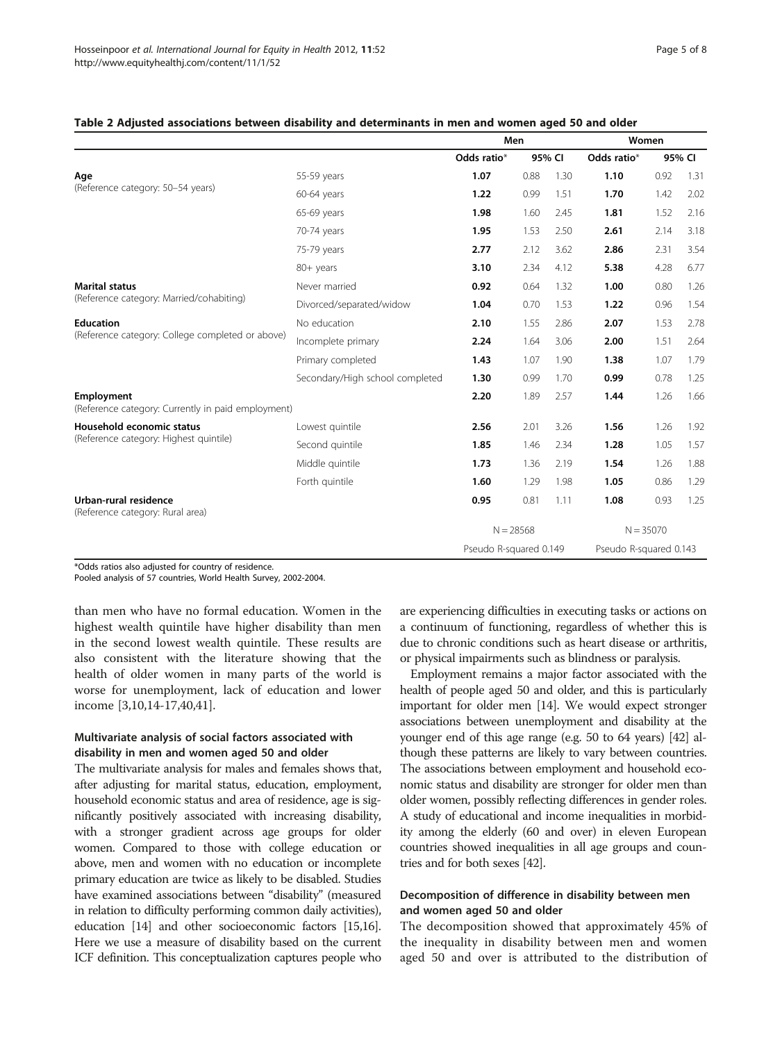|                                                                      |                                 | Men                    |      |        | Women                  |      |        |
|----------------------------------------------------------------------|---------------------------------|------------------------|------|--------|------------------------|------|--------|
|                                                                      |                                 | Odds ratio*            |      | 95% CI | Odds ratio*            |      | 95% CI |
| Age                                                                  | 55-59 years                     | 1.07                   | 0.88 | 1.30   | 1.10                   | 0.92 | 1.31   |
| (Reference category: 50-54 years)                                    | 60-64 years                     | 1.22                   | 0.99 | 1.51   | 1.70                   | 1.42 | 2.02   |
|                                                                      | 65-69 years                     | 1.98                   | 1.60 | 2.45   | 1.81                   | 1.52 | 2.16   |
|                                                                      | 70-74 years                     | 1.95                   | 1.53 | 2.50   | 2.61                   | 2.14 | 3.18   |
|                                                                      | 75-79 years                     | 2.77                   | 2.12 | 3.62   | 2.86                   | 2.31 | 3.54   |
|                                                                      | 80+ years                       | 3.10                   | 2.34 | 4.12   | 5.38                   | 4.28 | 6.77   |
| <b>Marital status</b><br>(Reference category: Married/cohabiting)    | Never married                   | 0.92                   | 0.64 | 1.32   | 1.00                   | 0.80 | 1.26   |
|                                                                      | Divorced/separated/widow        | 1.04                   | 0.70 | 1.53   | 1.22                   | 0.96 | 1.54   |
| <b>Education</b><br>(Reference category: College completed or above) | No education                    | 2.10                   | 1.55 | 2.86   | 2.07                   | 1.53 | 2.78   |
|                                                                      | Incomplete primary              | 2.24                   | 1.64 | 3.06   | 2.00                   | 1.51 | 2.64   |
|                                                                      | Primary completed               | 1.43                   | 1.07 | 1.90   | 1.38                   | 1.07 | 1.79   |
|                                                                      | Secondary/High school completed | 1.30                   | 0.99 | 1.70   | 0.99                   | 0.78 | 1.25   |
| Employment<br>(Reference category: Currently in paid employment)     |                                 | 2.20                   | 1.89 | 2.57   | 1.44                   | 1.26 | 1.66   |
| Household economic status<br>(Reference category: Highest quintile)  | Lowest quintile                 | 2.56                   | 2.01 | 3.26   | 1.56                   | 1.26 | 1.92   |
|                                                                      | Second quintile                 | 1.85                   | 1.46 | 2.34   | 1.28                   | 1.05 | 1.57   |
|                                                                      | Middle quintile                 | 1.73                   | 1.36 | 2.19   | 1.54                   | 1.26 | 1.88   |
|                                                                      | Forth quintile                  | 1.60                   | 1.29 | 1.98   | 1.05                   | 0.86 | 1.29   |
| Urban-rural residence<br>(Reference category: Rural area)            |                                 | 0.95                   | 0.81 | 1.11   | 1.08                   | 0.93 | 1.25   |
|                                                                      |                                 | $N = 28568$            |      |        | $N = 35070$            |      |        |
|                                                                      |                                 | Pseudo R-squared 0.149 |      |        | Pseudo R-squared 0.143 |      |        |

#### <span id="page-4-0"></span>Table 2 Adjusted associations between disability and determinants in men and women aged 50 and older

\*Odds ratios also adjusted for country of residence.

Pooled analysis of 57 countries, World Health Survey, 2002-2004.

than men who have no formal education. Women in the highest wealth quintile have higher disability than men in the second lowest wealth quintile. These results are also consistent with the literature showing that the health of older women in many parts of the world is worse for unemployment, lack of education and lower income [[3,](#page-6-0)[10,14-17,40,41\]](#page-7-0).

## Multivariate analysis of social factors associated with disability in men and women aged 50 and older

The multivariate analysis for males and females shows that, after adjusting for marital status, education, employment, household economic status and area of residence, age is significantly positively associated with increasing disability, with a stronger gradient across age groups for older women. Compared to those with college education or above, men and women with no education or incomplete primary education are twice as likely to be disabled. Studies have examined associations between "disability" (measured in relation to difficulty performing common daily activities), education [\[14\]](#page-7-0) and other socioeconomic factors [[15,16](#page-7-0)]. Here we use a measure of disability based on the current ICF definition. This conceptualization captures people who are experiencing difficulties in executing tasks or actions on a continuum of functioning, regardless of whether this is due to chronic conditions such as heart disease or arthritis, or physical impairments such as blindness or paralysis.

Employment remains a major factor associated with the health of people aged 50 and older, and this is particularly important for older men [[14](#page-7-0)]. We would expect stronger associations between unemployment and disability at the younger end of this age range (e.g. 50 to 64 years) [[42](#page-7-0)] although these patterns are likely to vary between countries. The associations between employment and household economic status and disability are stronger for older men than older women, possibly reflecting differences in gender roles. A study of educational and income inequalities in morbidity among the elderly (60 and over) in eleven European countries showed inequalities in all age groups and countries and for both sexes [\[42\]](#page-7-0).

## Decomposition of difference in disability between men and women aged 50 and older

The decomposition showed that approximately 45% of the inequality in disability between men and women aged 50 and over is attributed to the distribution of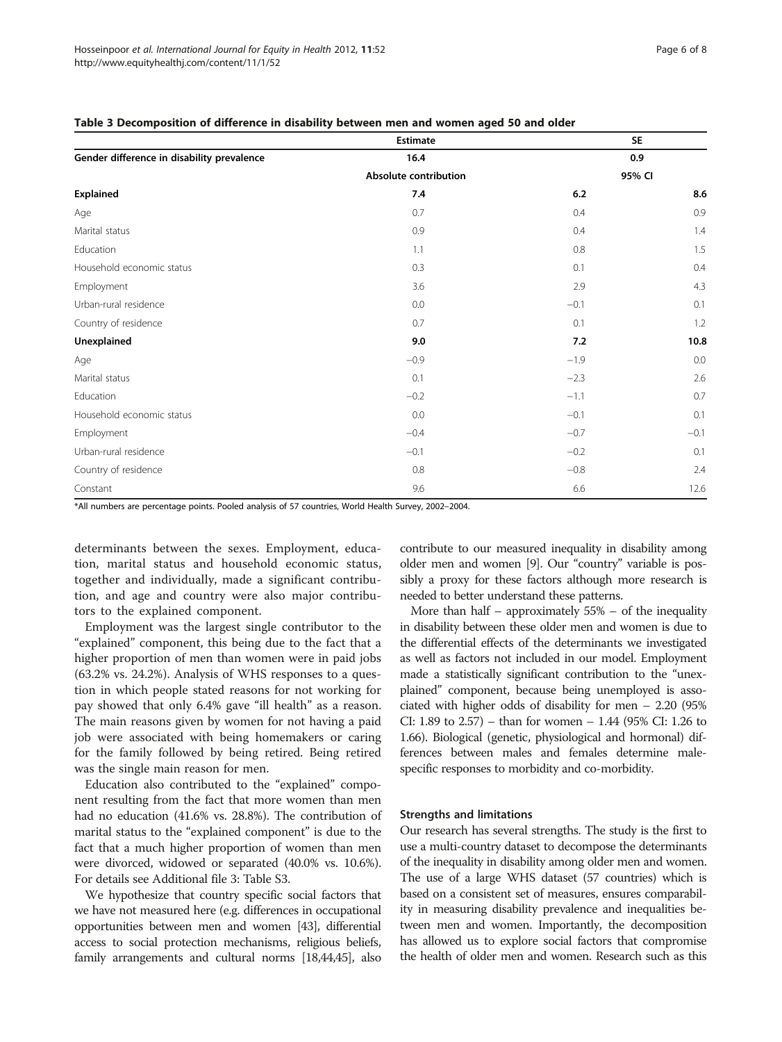|                                                         | <b>Estimate</b>       | <b>SE</b> |        |  |
|---------------------------------------------------------|-----------------------|-----------|--------|--|
| Gender difference in disability prevalence<br>Explained | 16.4                  |           | 0.9    |  |
|                                                         | Absolute contribution | 95% CI    |        |  |
|                                                         | 7.4                   | 6.2       | 8.6    |  |
| Age                                                     | 0.7                   | 0.4       | 0.9    |  |
| Marital status                                          | 0.9                   | 0.4       | 1.4    |  |
| Education                                               | 1.1                   | 0.8       | 1.5    |  |
| Household economic status                               | 0.3                   | 0.1       | 0.4    |  |
| Employment                                              | 3.6                   | 2.9       | 4.3    |  |
| Urban-rural residence                                   | 0.0                   | $-0.1$    | 0.1    |  |
| Country of residence                                    | 0.7                   | 0.1       | 1.2    |  |
| Unexplained                                             | 9.0                   | 7.2       | 10.8   |  |
| Age                                                     | $-0.9$                | $-1.9$    | 0.0    |  |
| Marital status                                          | 0.1                   | $-2.3$    | 2.6    |  |
| Education                                               | $-0.2$                | $-1.1$    | 0.7    |  |
| Household economic status                               | 0.0                   | $-0.1$    | 0.1    |  |
| Employment                                              | $-0.4$                | $-0.7$    | $-0.1$ |  |
| Urban-rural residence                                   | $-0.1$                | $-0.2$    | 0.1    |  |
| Country of residence                                    | 0.8                   | $-0.8$    | 2.4    |  |
| Constant                                                | 9.6                   | 6.6       | 12.6   |  |

<span id="page-5-0"></span>Table 3 Decomposition of difference in disability between men and women aged 50 and older

\*All numbers are percentage points. Pooled analysis of 57 countries, World Health Survey, 2002–2004.

determinants between the sexes. Employment, education, marital status and household economic status, together and individually, made a significant contribution, and age and country were also major contributors to the explained component.

Employment was the largest single contributor to the "explained" component, this being due to the fact that a higher proportion of men than women were in paid jobs (63.2% vs. 24.2%). Analysis of WHS responses to a question in which people stated reasons for not working for pay showed that only 6.4% gave "ill health" as a reason. The main reasons given by women for not having a paid job were associated with being homemakers or caring for the family followed by being retired. Being retired was the single main reason for men.

Education also contributed to the "explained" component resulting from the fact that more women than men had no education (41.6% vs. 28.8%). The contribution of marital status to the "explained component" is due to the fact that a much higher proportion of women than men were divorced, widowed or separated (40.0% vs. 10.6%). For details see Additional file [3](#page-6-0): Table S3.

We hypothesize that country specific social factors that we have not measured here (e.g. differences in occupational opportunities between men and women [\[43\]](#page-7-0), differential access to social protection mechanisms, religious beliefs, family arrangements and cultural norms [\[18,44,45](#page-7-0)], also contribute to our measured inequality in disability among older men and women [[9](#page-7-0)]. Our "country" variable is possibly a proxy for these factors although more research is needed to better understand these patterns.

More than half – approximately  $55%$  – of the inequality in disability between these older men and women is due to the differential effects of the determinants we investigated as well as factors not included in our model. Employment made a statistically significant contribution to the "unexplained" component, because being unemployed is associated with higher odds of disability for men – 2.20 (95% CI: 1.89 to 2.57) – than for women – 1.44 (95% CI: 1.26 to 1.66). Biological (genetic, physiological and hormonal) differences between males and females determine malespecific responses to morbidity and co-morbidity.

#### Strengths and limitations

Our research has several strengths. The study is the first to use a multi-country dataset to decompose the determinants of the inequality in disability among older men and women. The use of a large WHS dataset (57 countries) which is based on a consistent set of measures, ensures comparability in measuring disability prevalence and inequalities between men and women. Importantly, the decomposition has allowed us to explore social factors that compromise the health of older men and women. Research such as this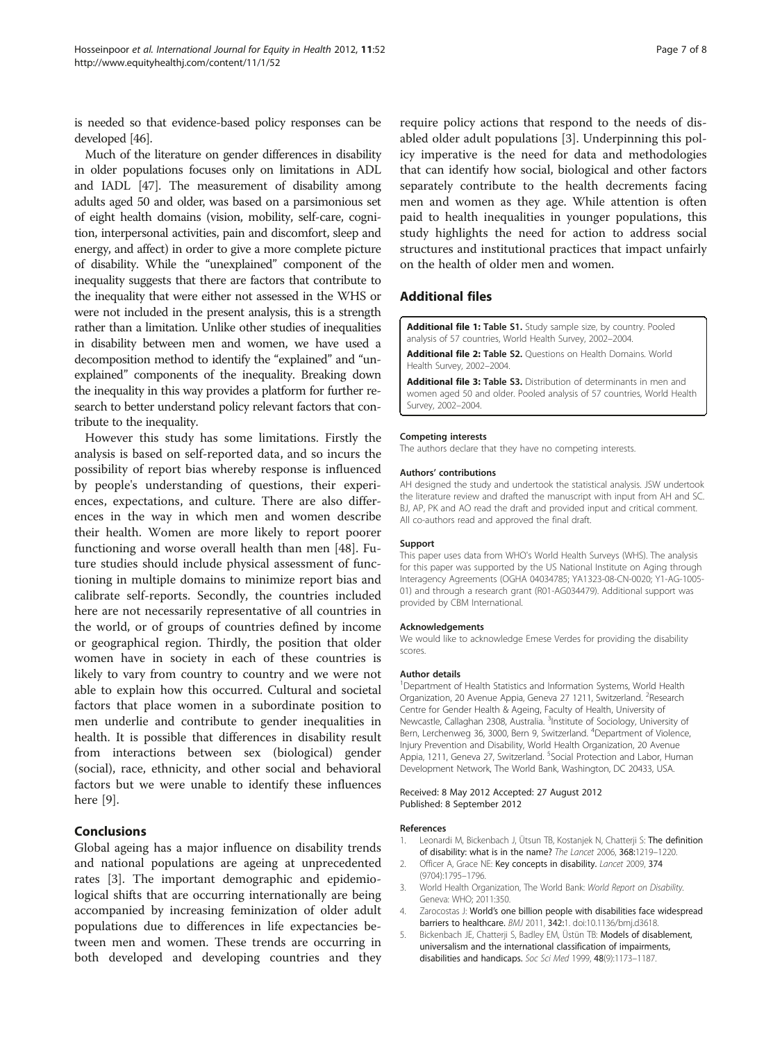<span id="page-6-0"></span>is needed so that evidence-based policy responses can be developed [[46](#page-7-0)].

Much of the literature on gender differences in disability in older populations focuses only on limitations in ADL and IADL [\[47\]](#page-7-0). The measurement of disability among adults aged 50 and older, was based on a parsimonious set of eight health domains (vision, mobility, self-care, cognition, interpersonal activities, pain and discomfort, sleep and energy, and affect) in order to give a more complete picture of disability. While the "unexplained" component of the inequality suggests that there are factors that contribute to the inequality that were either not assessed in the WHS or were not included in the present analysis, this is a strength rather than a limitation. Unlike other studies of inequalities in disability between men and women, we have used a decomposition method to identify the "explained" and "unexplained" components of the inequality. Breaking down the inequality in this way provides a platform for further research to better understand policy relevant factors that contribute to the inequality.

However this study has some limitations. Firstly the analysis is based on self-reported data, and so incurs the possibility of report bias whereby response is influenced by people's understanding of questions, their experiences, expectations, and culture. There are also differences in the way in which men and women describe their health. Women are more likely to report poorer functioning and worse overall health than men [[48\]](#page-7-0). Future studies should include physical assessment of functioning in multiple domains to minimize report bias and calibrate self-reports. Secondly, the countries included here are not necessarily representative of all countries in the world, or of groups of countries defined by income or geographical region. Thirdly, the position that older women have in society in each of these countries is likely to vary from country to country and we were not able to explain how this occurred. Cultural and societal factors that place women in a subordinate position to men underlie and contribute to gender inequalities in health. It is possible that differences in disability result from interactions between sex (biological) gender (social), race, ethnicity, and other social and behavioral factors but we were unable to identify these influences here [[9](#page-7-0)].

## Conclusions

Global ageing has a major influence on disability trends and national populations are ageing at unprecedented rates [3]. The important demographic and epidemiological shifts that are occurring internationally are being accompanied by increasing feminization of older adult populations due to differences in life expectancies between men and women. These trends are occurring in both developed and developing countries and they require policy actions that respond to the needs of disabled older adult populations [3]. Underpinning this policy imperative is the need for data and methodologies that can identify how social, biological and other factors separately contribute to the health decrements facing men and women as they age. While attention is often paid to health inequalities in younger populations, this study highlights the need for action to address social structures and institutional practices that impact unfairly on the health of older men and women.

## Additional files

[Additional file 1:](http://www.biomedcentral.com/content/supplementary/1475-9276-11-52-S1.docx) Table S1. Study sample size, by country. Pooled analysis of 57 countries, World Health Survey, 2002–2004.

[Additional file 2:](http://www.biomedcentral.com/content/supplementary/1475-9276-11-52-S2.doc) Table S2. Questions on Health Domains. World Health Survey, 2002–2004.

[Additional file 3:](http://www.biomedcentral.com/content/supplementary/1475-9276-11-52-S3.doc) Table S3. Distribution of determinants in men and women aged 50 and older. Pooled analysis of 57 countries, World Health Survey, 2002–2004.

#### Competing interests

The authors declare that they have no competing interests.

#### Authors' contributions

AH designed the study and undertook the statistical analysis. JSW undertook the literature review and drafted the manuscript with input from AH and SC. BJ, AP, PK and AO read the draft and provided input and critical comment. All co-authors read and approved the final draft.

#### Support

This paper uses data from WHO's World Health Surveys (WHS). The analysis for this paper was supported by the US National Institute on Aging through Interagency Agreements (OGHA 04034785; YA1323-08-CN-0020; Y1-AG-1005- 01) and through a research grant (R01-AG034479). Additional support was provided by CBM International.

#### Acknowledgements

We would like to acknowledge Emese Verdes for providing the disability scores.

#### Author details

<sup>1</sup>Department of Health Statistics and Information Systems, World Health Organization, 20 Avenue Appia, Geneva 27 1211, Switzerland. <sup>2</sup>Research Centre for Gender Health & Ageing, Faculty of Health, University of Newcastle, Callaghan 2308, Australia. <sup>3</sup>Institute of Sociology, University of Bern, Lerchenweg 36, 3000, Bern 9, Switzerland. <sup>4</sup>Department of Violence Injury Prevention and Disability, World Health Organization, 20 Avenue Appia, 1211, Geneva 27, Switzerland. <sup>5</sup>Social Protection and Labor, Human Development Network, The World Bank, Washington, DC 20433, USA.

Received: 8 May 2012 Accepted: 27 August 2012 Published: 8 September 2012

#### References

- 1. Leonardi M, Bickenbach J, Ütsun TB, Kostanjek N, Chatterji S: The definition of disability: what is in the name? The Lancet 2006, 368:1219–1220.
- Officer A, Grace NE: Key concepts in disability. Lancet 2009, 374 (9704):1795–1796.
- 3. World Health Organization, The World Bank: World Report on Disability. Geneva: WHO; 2011:350.
- 4. Zarocostas J: World's one billion people with disabilities face widespread barriers to healthcare. BMJ 2011, 342:1. doi:[10.1136/bmj.d3618.](http://dx.doi.org/10.1136/bmj.d3618)
- 5. Bickenbach JE, Chatterji S, Badley EM, Üstün TB: Models of disablement, universalism and the international classification of impairments, disabilities and handicaps. Soc Sci Med 1999, 48(9):1173–1187.